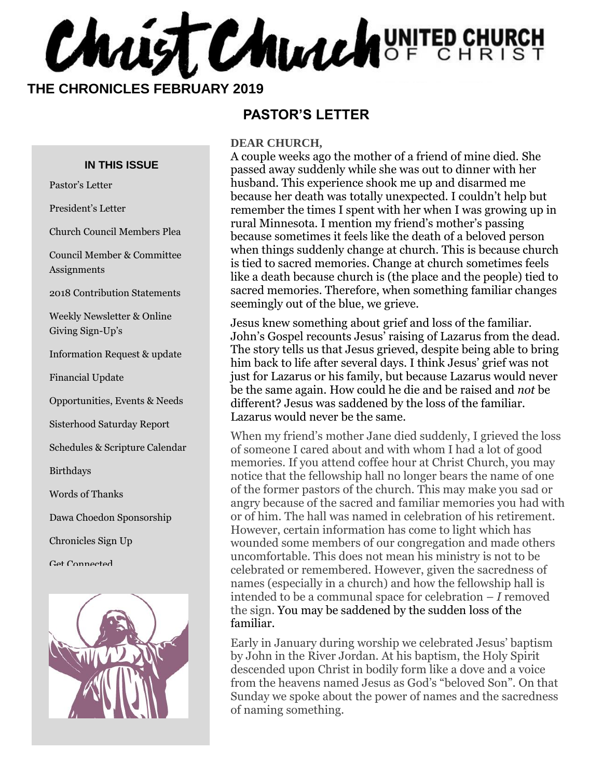**CHALIST CHUALHOF CHURCH** 

 **THE CHRONICLES FEBRUARY 2019**

#### **IN THIS ISSUE**

Pastor's Letter

President's Letter

Church Council Members Plea

Council Member & Committee Assignments

2018 Contribution Statements

Weekly Newsletter & Online Giving Sign-Up's

Information Request & update

Financial Update

Opportunities, Events & Needs

Sisterhood Saturday Report

Schedules & Scripture Calendar

Birthdays

Words of Thanks

Dawa Choedon Sponsorship

Chronicles Sign Up

Get Connected



#### **PASTOR'S LETTER**

#### **DEAR CHURCH,**

A couple weeks ago the mother of a friend of mine died. She passed away suddenly while she was out to dinner with her husband. This experience shook me up and disarmed me because her death was totally unexpected. I couldn't help but remember the times I spent with her when I was growing up in rural Minnesota. I mention my friend's mother's passing because sometimes it feels like the death of a beloved person when things suddenly change at church. This is because church is tied to sacred memories. Change at church sometimes feels like a death because church is (the place and the people) tied to sacred memories. Therefore, when something familiar changes seemingly out of the blue, we grieve.

Jesus knew something about grief and loss of the familiar. John's Gospel recounts Jesus' raising of Lazarus from the dead. The story tells us that Jesus grieved, despite being able to bring him back to life after several days. I think Jesus' grief was not just for Lazarus or his family, but because Lazarus would never be the same again. How could he die and be raised and *not* be different? Jesus was saddened by the loss of the familiar. Lazarus would never be the same.

When my friend's mother Jane died suddenly, I grieved the loss of someone I cared about and with whom I had a lot of good memories. If you attend coffee hour at Christ Church, you may notice that the fellowship hall no longer bears the name of one of the former pastors of the church. This may make you sad or angry because of the sacred and familiar memories you had with or of him. The hall was named in celebration of his retirement. However, certain information has come to light which has wounded some members of our congregation and made others uncomfortable. This does not mean his ministry is not to be celebrated or remembered. However, given the sacredness of names (especially in a church) and how the fellowship hall is intended to be a communal space for celebration – *I* removed the sign. You may be saddened by the sudden loss of the familiar.

Early in January during worship we celebrated Jesus' baptism by John in the River Jordan. At his baptism, the Holy Spirit descended upon Christ in bodily form like a dove and a voice from the heavens named Jesus as God's "beloved Son". On that Sunday we spoke about the power of names and the sacredness of naming something.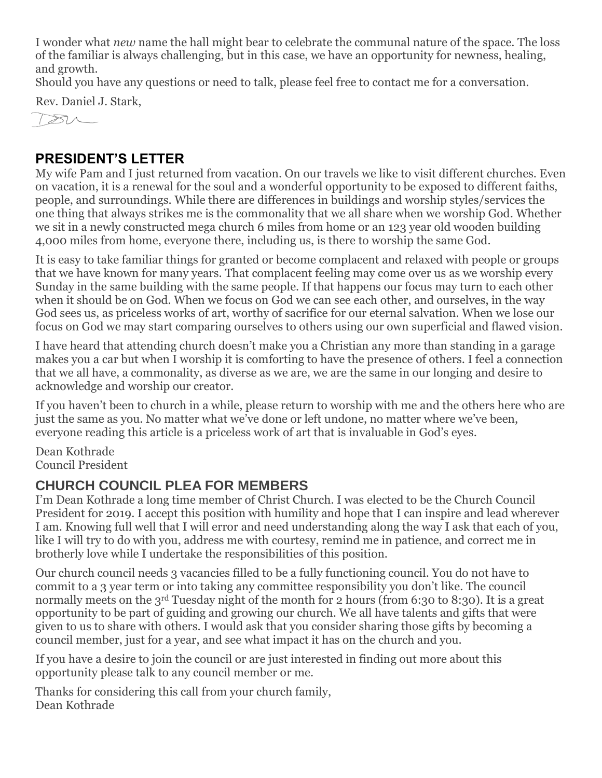I wonder what *new* name the hall might bear to celebrate the communal nature of the space. The loss of the familiar is always challenging, but in this case, we have an opportunity for newness, healing, and growth.

Should you have any questions or need to talk, please feel free to contact me for a conversation.

Rev. Daniel J. Stark,



#### **PRESIDENT'S LETTER**

My wife Pam and I just returned from vacation. On our travels we like to visit different churches. Even on vacation, it is a renewal for the soul and a wonderful opportunity to be exposed to different faiths, people, and surroundings. While there are differences in buildings and worship styles/services the one thing that always strikes me is the commonality that we all share when we worship God. Whether we sit in a newly constructed mega church 6 miles from home or an 123 year old wooden building 4,000 miles from home, everyone there, including us, is there to worship the same God.

It is easy to take familiar things for granted or become complacent and relaxed with people or groups that we have known for many years. That complacent feeling may come over us as we worship every Sunday in the same building with the same people. If that happens our focus may turn to each other when it should be on God. When we focus on God we can see each other, and ourselves, in the way God sees us, as priceless works of art, worthy of sacrifice for our eternal salvation. When we lose our focus on God we may start comparing ourselves to others using our own superficial and flawed vision.

I have heard that attending church doesn't make you a Christian any more than standing in a garage makes you a car but when I worship it is comforting to have the presence of others. I feel a connection that we all have, a commonality, as diverse as we are, we are the same in our longing and desire to acknowledge and worship our creator.

If you haven't been to church in a while, please return to worship with me and the others here who are just the same as you. No matter what we've done or left undone, no matter where we've been, everyone reading this article is a priceless work of art that is invaluable in God's eyes.

Dean Kothrade Council President

#### **CHURCH COUNCIL PLEA FOR MEMBERS**

I'm Dean Kothrade a long time member of Christ Church. I was elected to be the Church Council President for 2019. I accept this position with humility and hope that I can inspire and lead wherever I am. Knowing full well that I will error and need understanding along the way I ask that each of you, like I will try to do with you, address me with courtesy, remind me in patience, and correct me in brotherly love while I undertake the responsibilities of this position.

Our church council needs 3 vacancies filled to be a fully functioning council. You do not have to commit to a 3 year term or into taking any committee responsibility you don't like. The council normally meets on the 3<sup>rd</sup> Tuesday night of the month for 2 hours (from 6:30 to 8:30). It is a great opportunity to be part of guiding and growing our church. We all have talents and gifts that were given to us to share with others. I would ask that you consider sharing those gifts by becoming a council member, just for a year, and see what impact it has on the church and you.

If you have a desire to join the council or are just interested in finding out more about this opportunity please talk to any council member or me.

Thanks for considering this call from your church family, Dean Kothrade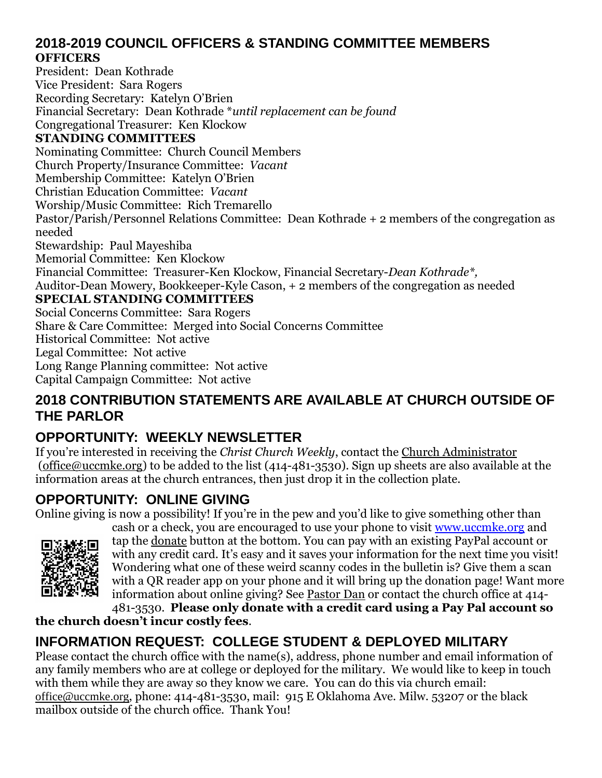#### **2018-2019 COUNCIL OFFICERS & STANDING COMMITTEE MEMBERS OFFICERS**

President: Dean Kothrade Vice President: Sara Rogers Recording Secretary: Katelyn O'Brien Financial Secretary: Dean Kothrade \**until replacement can be found* Congregational Treasurer: Ken Klockow **STANDING COMMITTEES** Nominating Committee: Church Council Members Church Property/Insurance Committee: *Vacant* Membership Committee: Katelyn O'Brien Christian Education Committee: *Vacant* Worship/Music Committee: Rich Tremarello Pastor/Parish/Personnel Relations Committee: Dean Kothrade + 2 members of the congregation as needed Stewardship: Paul Mayeshiba Memorial Committee: Ken Klockow Financial Committee: Treasurer-Ken Klockow, Financial Secretary-*Dean Kothrade\*,* Auditor-Dean Mowery, Bookkeeper-Kyle Cason, + 2 members of the congregation as needed **SPECIAL STANDING COMMITTEES** Social Concerns Committee: Sara Rogers Share & Care Committee: Merged into Social Concerns Committee Historical Committee: Not active Legal Committee: Not active Long Range Planning committee: Not active

Capital Campaign Committee: Not active

#### **2018 CONTRIBUTION STATEMENTS ARE AVAILABLE AT CHURCH OUTSIDE OF THE PARLOR**

## **OPPORTUNITY: WEEKLY NEWSLETTER**

If you're interested in receiving the *Christ Church Weekly*, contact the [Church Administrator](mailto:christ-church@att.net) (office@uccmke.org) to be added to the list (414-481-3530). Sign up sheets are also available at the information areas at the church entrances, then just drop it in the collection plate.

#### **OPPORTUNITY: ONLINE GIVING**

Online giving is now a possibility! If you're in the pew and you'd like to give something other than



cash or a check, you are encouraged to use your phone to visit [www.uccmke.org](http://www.uccmke.org/) and tap the [donate](https://www.paypal.com/cgi-bin/webscr?cmd=_s-xclick&hosted_button_id=D7W2VTZZBHZNU) button at the bottom. You can pay with an existing PayPal account or with any credit card. It's easy and it saves your information for the next time you visit! Wondering what one of these weird scanny codes in the bulletin is? Give them a scan with a QR reader app on your phone and it will bring up the donation page! Want more information about online giving? See [Pastor Dan](mailto:dan_stark@att.net) or contact the church office at 414- 481-3530. **Please only donate with a credit card using a Pay Pal account so** 

#### **the church doesn't incur costly fees**.

## **INFORMATION REQUEST: COLLEGE STUDENT & DEPLOYED MILITARY**

Please contact the church office with the name(s), address, phone number and email information of any family members who are at college or deployed for the military. We would like to keep in touch with them while they are away so they know we care. You can do this via church email: office@uccmke.org, phone: 414-481-3530, mail: 915 E Oklahoma Ave. Milw. 53207 or the black mailbox outside of the church office. Thank You!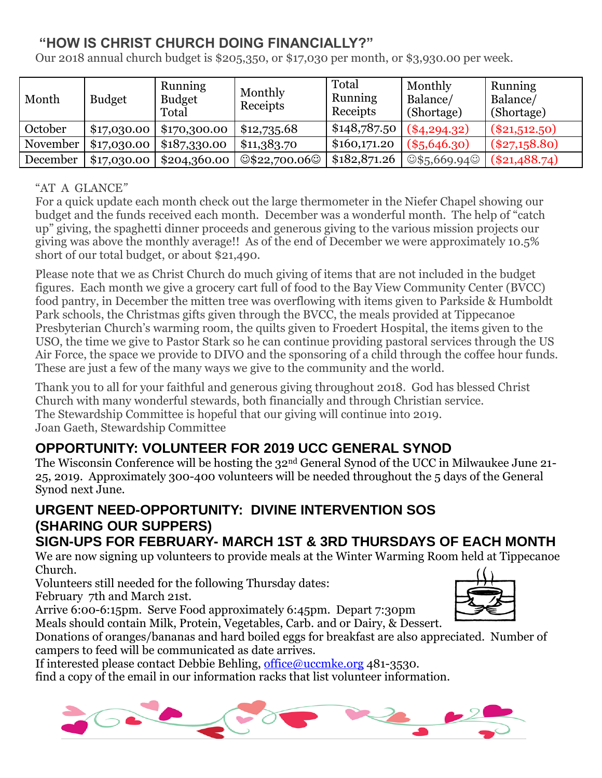## **"HOW IS CHRIST CHURCH DOING FINANCIALLY?"**

Our 2018 annual church budget is \$205,350, or \$17,030 per month, or \$3,930.00 per week.

| Month    | <b>Budget</b> | <b>Running</b><br><b>Budget</b><br>Total | Monthly<br>Receipts         | Total<br><b>Running</b><br>Receipts | Monthly<br>Balance/<br>(Shortage) | Running<br>Balance/<br>(Shortage) |
|----------|---------------|------------------------------------------|-----------------------------|-------------------------------------|-----------------------------------|-----------------------------------|
| October  | \$17,030.00   | \$170,300.00                             | \$12,735.68                 | \$148,787.50                        | $(*4, 294.32)$                    | $(\$21,512.50)$                   |
| November | \$17,030.00   | \$187,330.00                             | \$11,383.70                 | \$160,171.20                        | $(*5,646.30)$                     | $(\$27,158.80)$                   |
| December | \$17,030.00   | \$204,360.00                             | $\circ$ \$22,700.06 $\circ$ | \$182,871.26                        | $\circ$ \$5,669.94 $\circ$        | $(\$21,488.74)$                   |

#### "AT A GLANCE*"*

For a quick update each month check out the large thermometer in the Niefer Chapel showing our budget and the funds received each month. December was a wonderful month. The help of "catch up" giving, the spaghetti dinner proceeds and generous giving to the various mission projects our giving was above the monthly average!! As of the end of December we were approximately 10.5% short of our total budget, or about \$21,490.

Please note that we as Christ Church do much giving of items that are not included in the budget figures. Each month we give a grocery cart full of food to the Bay View Community Center (BVCC) food pantry, in December the mitten tree was overflowing with items given to Parkside & Humboldt Park schools, the Christmas gifts given through the BVCC, the meals provided at Tippecanoe Presbyterian Church's warming room, the quilts given to Froedert Hospital, the items given to the USO, the time we give to Pastor Stark so he can continue providing pastoral services through the US Air Force, the space we provide to DIVO and the sponsoring of a child through the coffee hour funds. These are just a few of the many ways we give to the community and the world.

Thank you to all for your faithful and generous giving throughout 2018. God has blessed Christ Church with many wonderful stewards, both financially and through Christian service. The Stewardship Committee is hopeful that our giving will continue into 2019. Joan Gaeth, Stewardship Committee

# **OPPORTUNITY: VOLUNTEER FOR 2019 UCC GENERAL SYNOD**

The Wisconsin Conference will be hosting the 32nd General Synod of the UCC in Milwaukee June 21- 25, 2019. Approximately 300-400 volunteers will be needed throughout the 5 days of the General Synod next June.

# **URGENT NEED-OPPORTUNITY: DIVINE INTERVENTION SOS (SHARING OUR SUPPERS)**

## **SIGN-UPS FOR FEBRUARY- MARCH 1ST & 3RD THURSDAYS OF EACH MONTH**

We are now signing up volunteers to provide meals at the Winter Warming Room held at Tippecanoe Church.

Volunteers still needed for the following Thursday dates:

February 7th and March 21st.

Arrive 6:00-6:15pm. Serve Food approximately 6:45pm. Depart 7:30pm Meals should contain Milk, Protein, Vegetables, Carb. and or Dairy, & Dessert.



Donations of oranges/bananas and hard boiled eggs for breakfast are also appreciated. Number of campers to feed will be communicated as date arrives.

If interested please contact Debbie Behling, [office@uccmke.org](mailto:office@uccmke.org) 481-3530.

find a copy of the email in our information racks that list volunteer information.

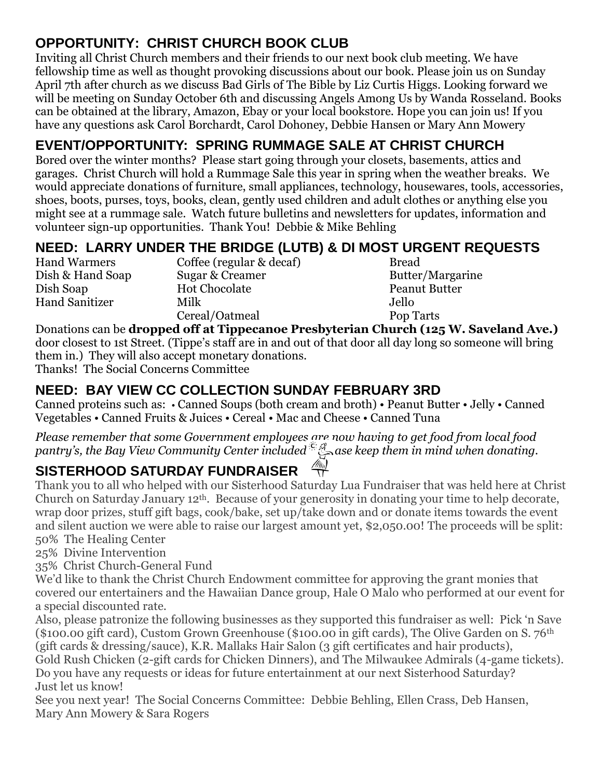# **OPPORTUNITY: CHRIST CHURCH BOOK CLUB**

Inviting all Christ Church members and their friends to our next book club meeting. We have fellowship time as well as thought provoking discussions about our book. Please join us on Sunday April 7th after church as we discuss Bad Girls of The Bible by Liz Curtis Higgs. Looking forward we will be meeting on Sunday October 6th and discussing Angels Among Us by Wanda Rosseland. Books can be obtained at the library, Amazon, Ebay or your local bookstore. Hope you can join us! If you have any questions ask Carol Borchardt, Carol Dohoney, Debbie Hansen or Mary Ann Mowery

# **EVENT/OPPORTUNITY: SPRING RUMMAGE SALE AT CHRIST CHURCH**

Bored over the winter months? Please start going through your closets, basements, attics and garages. Christ Church will hold a Rummage Sale this year in spring when the weather breaks. We would appreciate donations of furniture, small appliances, technology, housewares, tools, accessories, shoes, boots, purses, toys, books, clean, gently used children and adult clothes or anything else you might see at a rummage sale. Watch future bulletins and newsletters for updates, information and volunteer sign-up opportunities. Thank You! Debbie & Mike Behling

# **NEED: LARRY UNDER THE BRIDGE (LUTB) & DI MOST URGENT REQUESTS**

Hand Warmers Coffee (regular & decaf) Bread Dish & Hand Soap Sugar & Creamer Butter/Margarine Dish Soap Hot Chocolate Peanut Butter Hand Sanitizer Milk Jello Cereal/Oatmeal Pop Tarts

Donations can be **dropped off at Tippecanoe Presbyterian Church (125 W. Saveland Ave.)** door closest to 1st Street. (Tippe's staff are in and out of that door all day long so someone will bring them in.) They will also accept monetary donations. Thanks! The Social Concerns Committee

# **NEED: BAY VIEW CC COLLECTION SUNDAY FEBRUARY 3RD**

Canned proteins such as: • Canned Soups (both cream and broth) • Peanut Butter • Jelly • Canned Vegetables • Canned Fruits & Juices • Cereal • Mac and Cheese • Canned Tuna

*Please remember that some Government employees are now having to get food from local food*  please remember matisome Government corplessed.<sup>2</sup>. Please keep them in mind when donating.<br>pantry's, the Bay View Community Center included.<sup>2</sup>. Asse keep them in mind when donating.

# **SISTERHOOD SATURDAY FUNDRAISER**

Thank you to all who helped with our Sisterhood Saturday Lua Fundraiser that was held here at Christ Church on Saturday January 12th. Because of your generosity in donating your time to help decorate, wrap door prizes, stuff gift bags, cook/bake, set up/take down and or donate items towards the event and silent auction we were able to raise our largest amount yet, \$2,050.00! The proceeds will be split: 50% The Healing Center

25% Divine Intervention

35% Christ Church-General Fund

We'd like to thank the Christ Church Endowment committee for approving the grant monies that covered our entertainers and the Hawaiian Dance group, Hale O Malo who performed at our event for a special discounted rate.

Also, please patronize the following businesses as they supported this fundraiser as well: Pick 'n Save (\$100.00 gift card), Custom Grown Greenhouse (\$100.00 in gift cards), The Olive Garden on S. 76th (gift cards & dressing/sauce), K.R. Mallaks Hair Salon (3 gift certificates and hair products),

Gold Rush Chicken (2-gift cards for Chicken Dinners), and The Milwaukee Admirals (4-game tickets). Do you have any requests or ideas for future entertainment at our next Sisterhood Saturday? Just let us know!

See you next year! The Social Concerns Committee: Debbie Behling, Ellen Crass, Deb Hansen, Mary Ann Mowery & Sara Rogers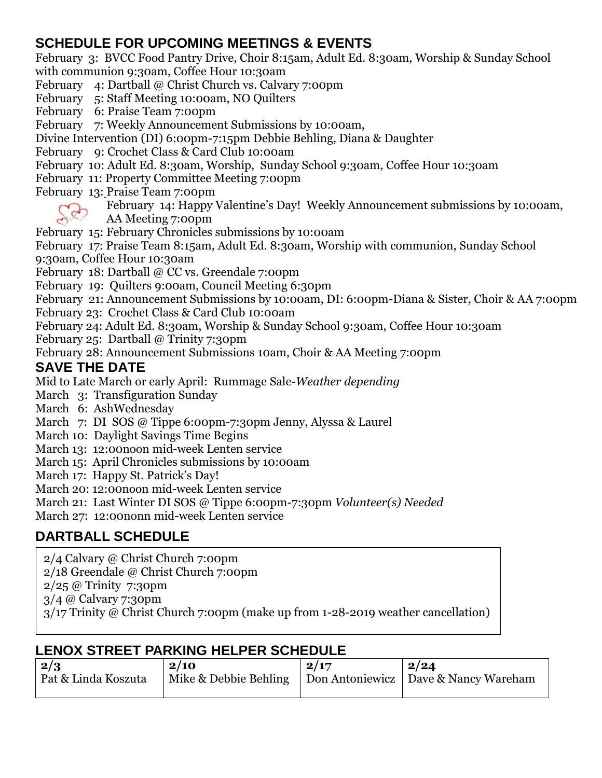#### **SCHEDULE FOR UPCOMING MEETINGS & EVENTS**

February 3: BVCC Food Pantry Drive, Choir 8:15am, Adult Ed. 8:30am, Worship & Sunday School with communion 9:30am, Coffee Hour 10:30am

February 4: Dartball @ Christ Church vs. Calvary 7:00pm

February 5: Staff Meeting 10:00am, NO Quilters

February 6: Praise Team 7:00pm

February 7: Weekly Announcement Submissions by 10:00am,

Divine Intervention (DI) 6:00pm-7:15pm Debbie Behling, Diana & Daughter

February 9: Crochet Class & Card Club 10:00am

February 10: Adult Ed. 8:30am, Worship, Sunday School 9:30am, Coffee Hour 10:30am

February 11: Property Committee Meeting 7:00pm

February 13: Praise Team 7:00pm

February 14: Happy Valentine's Day! Weekly Announcement submissions by 10:00am,

AA Meeting 7:00pm

February 15: February Chronicles submissions by 10:00am

February 17: Praise Team 8:15am, Adult Ed. 8:30am, Worship with communion, Sunday School 9:30am, Coffee Hour 10:30am

February 18: Dartball @ CC vs. Greendale 7:00pm

February 19: Quilters 9:00am, Council Meeting 6:30pm

February 21: Announcement Submissions by 10:00am, DI: 6:00pm-Diana & Sister, Choir & AA 7:00pm

February 23: Crochet Class & Card Club 10:00am

February 24: Adult Ed. 8:30am, Worship & Sunday School 9:30am, Coffee Hour 10:30am

February 25: Dartball @ Trinity 7:30pm

February 28: Announcement Submissions 10am, Choir & AA Meeting 7:00pm

#### **SAVE THE DATE**

Mid to Late March or early April: Rummage Sale-*Weather depending*

- March 3: Transfiguration Sunday
- March 6: AshWednesday
- March 7: DI SOS @ Tippe 6:00pm-7:30pm Jenny, Alyssa & Laurel
- March 10: Daylight Savings Time Begins
- March 13: 12:00noon mid-week Lenten service
- March 15: April Chronicles submissions by 10:00am
- March 17: Happy St. Patrick's Day!

March 20: 12:00noon mid-week Lenten service

March 21: Last Winter DI SOS @ Tippe 6:00pm-7:30pm *Volunteer(s) Needed*

March 27: 12:00nonn mid-week Lenten service

# **DARTBALL SCHEDULE**

2/4 Calvary @ Christ Church 7:00pm

2/18 Greendale @ Christ Church 7:00pm

2/25 @ Trinity 7:30pm

3/4 @ Calvary 7:30pm

**COFFEE HOUR SCHEDULE** 3/17 Trinity @ Christ Church 7:00pm (make up from 1-28-2019 weather cancellation)

# **LENOX STREET PARKING HELPER SCHEDULE**

| $\mid$ 2/3          | 2/10                                                           | 2/17 | 2/24 |
|---------------------|----------------------------------------------------------------|------|------|
| Pat & Linda Koszuta | Mike & Debbie Behling   Don Antoniewicz   Dave & Nancy Wareham |      |      |
|                     |                                                                |      |      |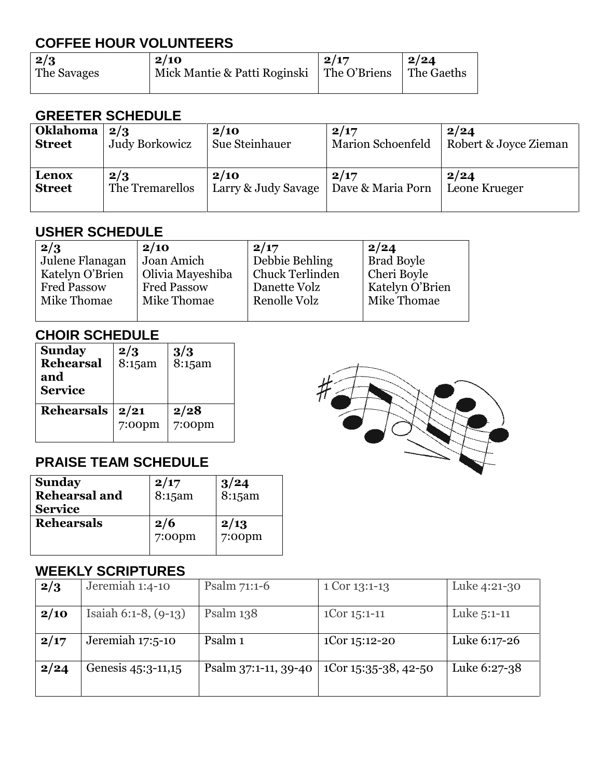## **COFFEE HOUR VOLUNTEERS**

| 2/3         | 2/10                         | 2/17         | 2/24       |
|-------------|------------------------------|--------------|------------|
| The Savages | Mick Mantie & Patti Roginski | The O'Briens | The Gaeths |
|             |                              |              |            |

#### **GREETER SCHEDULE**

| <b>Oklahoma</b> | 2/3             | 2/10                | 2/17                     | 2/24                  |
|-----------------|-----------------|---------------------|--------------------------|-----------------------|
| <b>Street</b>   | Judy Borkowicz  | Sue Steinhauer      | <b>Marion Schoenfeld</b> | Robert & Joyce Zieman |
| Lenox           | 2/3             | 2/10                | 2/17                     | 2/24                  |
| <b>Street</b>   | The Tremarellos | Larry & Judy Savage | Dave & Maria Porn        | Leone Krueger         |

#### **USHER SCHEDULE**

| 2/3                | 2/10               | 2/17            | 2/24              |
|--------------------|--------------------|-----------------|-------------------|
| Julene Flanagan    | Joan Amich         | Debbie Behling  | <b>Brad Boyle</b> |
| Katelyn O'Brien    | Olivia Mayeshiba   | Chuck Terlinden | Cheri Boyle       |
| <b>Fred Passow</b> | <b>Fred Passow</b> | Danette Volz    | Katelyn O'Brien   |
| Mike Thomae        | Mike Thomae        | Renolle Volz    | Mike Thomae       |
|                    |                    |                 |                   |

#### **CHOIR SCHEDULE**

| <b>Sunday</b><br><b>Rehearsal</b><br>and<br><b>Service</b> | 2/3<br>$8:15$ am  | 3/3<br>8:15am     |
|------------------------------------------------------------|-------------------|-------------------|
| <b>Rehearsals</b>                                          | 2/21<br>$7:00$ pm | 2/28<br>$7:00$ pm |

## **PRAISE TEAM SCHEDULE**

| <b>Sunday</b><br><b>Rehearsal and</b><br><b>Service</b> | 2/17<br>$8:15$ am | $3/24$<br>8:15am  |
|---------------------------------------------------------|-------------------|-------------------|
| <b>Rehearsals</b>                                       | 2/6<br>$7:00$ pm  | 2/13<br>$7:00$ pm |

#### **WEEKLY SCRIPTURES**

|      | ULLINLI OVINI TUINLU      |                      |                      |              |
|------|---------------------------|----------------------|----------------------|--------------|
| 2/3  | Jeremiah 1:4-10           | Psalm $71:1-6$       | 1 Cor 13:1-13        | Luke 4:21-30 |
| 2/10 | Isaiah $6:1-8$ , $(9-13)$ | Psalm 138            | $1$ Cor $1$ 5:1-11   | Luke 5:1-11  |
| 2/17 | Jeremiah 17:5-10          | Psalm 1              | 1Cor 15:12-20        | Luke 6:17-26 |
| 2/24 | Genesis 45:3-11,15        | Psalm 37:1-11, 39-40 | 1Cor 15:35-38, 42-50 | Luke 6:27-38 |

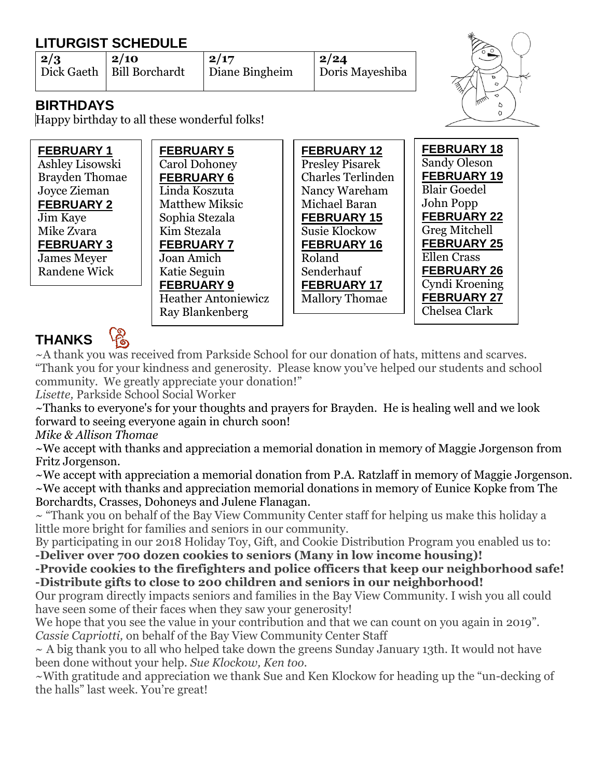# **LITURGIST SCHEDULE**

| $\frac{2}{3}$ | $\frac{2}{10}$              | 12/17          | 2/24            |
|---------------|-----------------------------|----------------|-----------------|
|               | Dick Gaeth   Bill Borchardt | Diane Bingheim | Doris Mayeshiba |
|               |                             |                |                 |



#### **BIRTHDAYS**

Happy birthday to all these wonderful folks!

| <b>FEBRUARY 1</b>     | <b>FEBRUARY 5</b>          | <b>FEBRUARY 12</b>       | <b>FEBRUARY 18</b>  |
|-----------------------|----------------------------|--------------------------|---------------------|
| Ashley Lisowski       | <b>Carol Dohoney</b>       | <b>Presley Pisarek</b>   | <b>Sandy Oleson</b> |
| <b>Brayden Thomae</b> | <b>FEBRUARY 6</b>          | <b>Charles Terlinden</b> | <b>FEBRUARY 19</b>  |
| Joyce Zieman          | Linda Koszuta              | Nancy Wareham            | <b>Blair Goedel</b> |
| <b>FEBRUARY 2</b>     | <b>Matthew Miksic</b>      | Michael Baran            | John Popp           |
| Jim Kaye              | Sophia Stezala             | <b>FEBRUARY 15</b>       | <b>FEBRUARY 22</b>  |
| Mike Zvara            | Kim Stezala                | <b>Susie Klockow</b>     | Greg Mitchell       |
| <b>FEBRUARY 3</b>     | <b>FEBRUARY 7</b>          | <b>FEBRUARY 16</b>       | <b>FEBRUARY 25</b>  |
| <b>James Meyer</b>    | Joan Amich                 | Roland                   | <b>Ellen Crass</b>  |
| Randene Wick          | Katie Seguin               | Senderhauf               | <b>FEBRUARY 26</b>  |
|                       | <b>FEBRUARY 9</b>          | <b>FEBRUARY 17</b>       | Cyndi Kroening      |
|                       | <b>Heather Antoniewicz</b> | <b>Mallory Thomae</b>    | <b>FEBRUARY 27</b>  |
|                       | Ray Blankenberg            |                          | Chelsea Clark       |

# **THANKS**

~A thank you was received from Parkside School for our donation of hats, mittens and scarves. "Thank you for your kindness and generosity. Please know you've helped our students and school community. We greatly appreciate your donation!"

*Lisette,* Parkside School Social Worker

~Thanks to everyone's for your thoughts and prayers for Brayden. He is healing well and we look forward to seeing everyone again in church soon!

*Mike & Allison Thomae*

~We accept with thanks and appreciation a memorial donation in memory of Maggie Jorgenson from Fritz Jorgenson.

~We accept with appreciation a memorial donation from P.A. Ratzlaff in memory of Maggie Jorgenson. ~We accept with thanks and appreciation memorial donations in memory of Eunice Kopke from The Borchardts, Crasses, Dohoneys and Julene Flanagan.

 $\sim$  "Thank you on behalf of the Bay View Community Center staff for helping us make this holiday a little more bright for families and seniors in our community.

By participating in our 2018 Holiday Toy, Gift, and Cookie Distribution Program you enabled us to:

**-Deliver over 700 dozen cookies to seniors (Many in low income housing)!**

**-Provide cookies to the firefighters and police officers that keep our neighborhood safe! -Distribute gifts to close to 200 children and seniors in our neighborhood!**

Our program directly impacts seniors and families in the Bay View Community. I wish you all could have seen some of their faces when they saw your generosity!

We hope that you see the value in your contribution and that we can count on you again in 2019". *Cassie Capriotti,* on behalf of the Bay View Community Center Staff

 $\sim$  A big thank you to all who helped take down the greens Sunday January 13th. It would not have been done without your help. *Sue Klockow, Ken too.*

~With gratitude and appreciation we thank Sue and Ken Klockow for heading up the "un-decking of the halls" last week. You're great!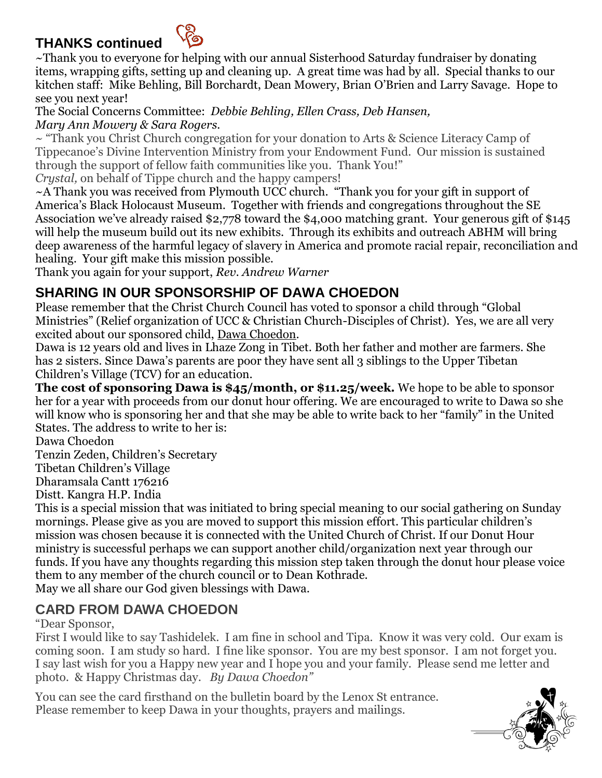## **THANKS continued**



~Thank you to everyone for helping with our annual Sisterhood Saturday fundraiser by donating items, wrapping gifts, setting up and cleaning up. A great time was had by all. Special thanks to our kitchen staff: Mike Behling, Bill Borchardt, Dean Mowery, Brian O'Brien and Larry Savage. Hope to see you next year!

The Social Concerns Committee: *Debbie Behling, Ellen Crass, Deb Hansen, Mary Ann Mowery & Sara Rogers.* 

~ "Thank you Christ Church congregation for your donation to Arts & Science Literacy Camp of Tippecanoe's Divine Intervention Ministry from your Endowment Fund. Our mission is sustained through the support of fellow faith communities like you. Thank You!"

*Crystal,* on behalf of Tippe church and the happy campers!

~A Thank you was received from Plymouth UCC church. "Thank you for your gift in support of America's Black Holocaust Museum. Together with friends and congregations throughout the SE Association we've already raised \$2,778 toward the \$4,000 matching grant. Your generous gift of \$145 will help the museum build out its new exhibits. Through its exhibits and outreach ABHM will bring deep awareness of the harmful legacy of slavery in America and promote racial repair, reconciliation and healing. Your gift make this mission possible.

Thank you again for your support, *Rev. Andrew Warner*

#### **SHARING IN OUR SPONSORSHIP OF DAWA CHOEDON**

Please remember that the Christ Church Council has voted to sponsor a child through "Global Ministries" (Relief organization of UCC & Christian Church-Disciples of Christ). Yes, we are all very excited about our sponsored child, Dawa Choedon.

Dawa is 12 years old and lives in Lhaze Zong in Tibet. Both her father and mother are farmers. She has 2 sisters. Since Dawa's parents are poor they have sent all 3 siblings to the Upper Tibetan Children's Village (TCV) for an education.

**The cost of sponsoring Dawa is \$45/month, or \$11.25/week.** We hope to be able to sponsor her for a year with proceeds from our donut hour offering. We are encouraged to write to Dawa so she will know who is sponsoring her and that she may be able to write back to her "family" in the United States. The address to write to her is:

Dawa Choedon

Tenzin Zeden, Children's Secretary

Tibetan Children's Village

Dharamsala Cantt 176216

Distt. Kangra H.P. India

This is a special mission that was initiated to bring special meaning to our social gathering on Sunday mornings. Please give as you are moved to support this mission effort. This particular children's mission was chosen because it is connected with the United Church of Christ. If our Donut Hour ministry is successful perhaps we can support another child/organization next year through our funds. If you have any thoughts regarding this mission step taken through the donut hour please voice them to any member of the church council or to Dean Kothrade.

May we all share our God given blessings with Dawa.

#### **CARD FROM DAWA CHOEDON**

"Dear Sponsor,

First I would like to say Tashidelek. I am fine in school and Tipa. Know it was very cold. Our exam is coming soon. I am study so hard. I fine like sponsor. You are my best sponsor. I am not forget you. I say last wish for you a Happy new year and I hope you and your family. Please send me letter and photo. & Happy Christmas day. *By Dawa Choedon"*

You can see the card firsthand on the bulletin board by the Lenox St entrance. Please remember to keep Dawa in your thoughts, prayers and mailings.